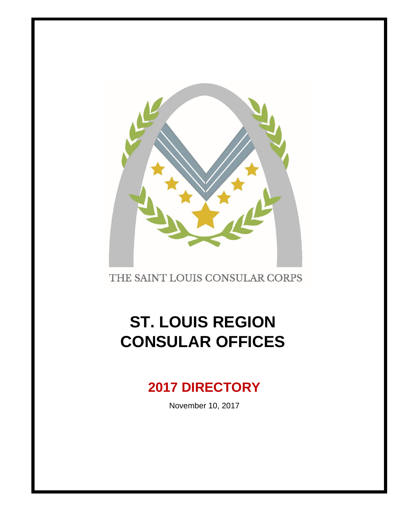

THE SAINT LOUIS CONSULAR CORPS

# **ST. LOUIS REGION CONSULAR OFFICES**

# **2017 DIRECTORY**

November 10, 2017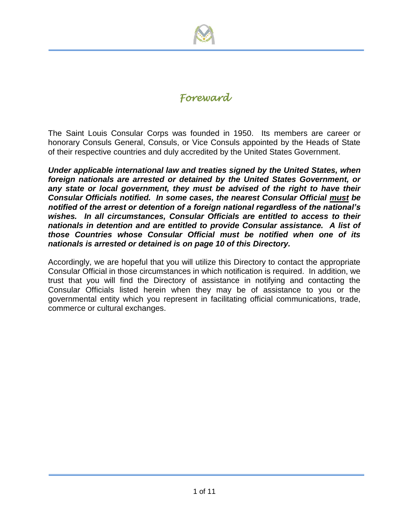

# *Foreward*

The Saint Louis Consular Corps was founded in 1950. Its members are career or honorary Consuls General, Consuls, or Vice Consuls appointed by the Heads of State of their respective countries and duly accredited by the United States Government.

*Under applicable international law and treaties signed by the United States, when foreign nationals are arrested or detained by the United States Government, or*  any state or local government, they must be advised of the right to have their *Consular Officials notified. In some cases, the nearest Consular Official must be notified of the arrest or detention of a foreign national regardless of the national's wishes. In all circumstances, Consular Officials are entitled to access to their nationals in detention and are entitled to provide Consular assistance. A list of those Countries whose Consular Official must be notified when one of its nationals is arrested or detained is on page 10 of this Directory.*

Accordingly, we are hopeful that you will utilize this Directory to contact the appropriate Consular Official in those circumstances in which notification is required. In addition, we trust that you will find the Directory of assistance in notifying and contacting the Consular Officials listed herein when they may be of assistance to you or the governmental entity which you represent in facilitating official communications, trade, commerce or cultural exchanges.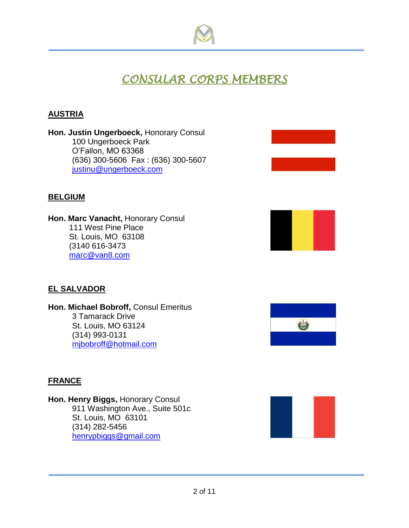

# *CONSULAR CORPS MEMBERS*

## **AUSTRIA**

**Hon. Justin Ungerboeck,** Honorary Consul 100 Ungerboeck Park O'Fallon, MO 63368 (636) 300-5606 Fax : (636) 300-5607 [justinu@ungerboeck.com](mailto:justinu@ungerboeck.com)

### **BELGIUM**

**Hon. Marc Vanacht, Honorary Consul** 111 West Pine Place St. Louis, MO 63108 (3140 616-3473 [marc@van8.com](mailto:marc@van8.com)

# **EL SALVADOR**

**Hon. Michael Bobroff,** Consul Emeritus 3 Tamarack Drive St. Louis, MO 63124 (314) 993-0131 [mjbobroff@hotmail.com](mailto:mjbobroff@hotmail.com)



### **FRANCE**

**Hon. Henry Biggs,** Honorary Consul 911 Washington Ave., Suite 501c St. Louis, MO 63101 (314) 282-5456 [henrypbiggs@gmail.com](mailto:henrypbiggs@gmail.com)

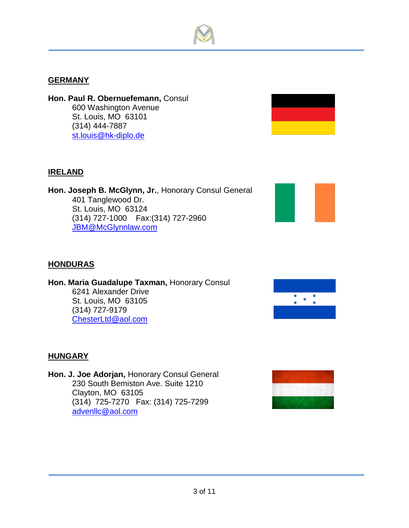# **GERMANY**

**Hon. Paul R. Obernuefemann,** Consul 600 Washington Avenue St. Louis, MO 63101 (314) 444-7887 [st.louis@hk-diplo.de](mailto:st.louis@hk-diplo.de)

#### **IRELAND**

**Hon. Joseph B. McGlynn, Jr.**, Honorary Consul General 401 Tanglewood Dr. St. Louis, MO 63124 (314) 727-1000 Fax:(314) 727-2960 [JBM@McGlynnlaw.com](mailto:JBM@McGlynnlaw.com)



#### **HONDURAS**

**Hon. Maria Guadalupe Taxman,** Honorary Consul 6241 Alexander Drive St. Louis, MO 63105 (314) 727-9179 ChesterLtd@aol.com



#### **HUNGARY**

**Hon. J. Joe Adorjan,** Honorary Consul General 230 South Bemiston Ave. Suite 1210 Clayton, MO 63105 (314) 725-7270 Fax: (314) 725-7299 [advenllc@aol.com](mailto:advenllc@aol.com)

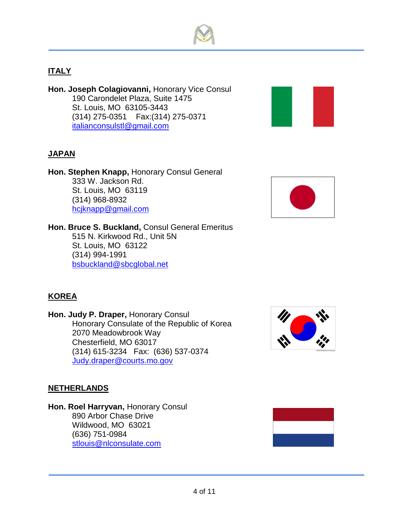

# **ITALY**

**Hon. Joseph Colagiovanni,** Honorary Vice Consul 190 Carondelet Plaza, Suite 1475 St. Louis, MO 63105-3443 (314) 275-0351 Fax:(314) 275-0371 [italianconsulstl@gmail.com](mailto:italianconsulstl@gmail.com)



# **JAPAN**

**Hon. Stephen Knapp,** Honorary Consul General 333 W. Jackson Rd. St. Louis, MO 63119 (314) 968-8932 [hcjknapp@gmail.com](mailto:hcjknapp@gmail.com)

**Hon. Bruce S. Buckland,** Consul General Emeritus 515 N. Kirkwood Rd., Unit 5N St. Louis, MO 63122 (314) 994-1991 [bsbuckland@sbcglobal.net](mailto:bsbuckland@sbcglobal.net)



# **KOREA**

**Hon. Judy P. Draper,** Honorary Consul Honorary Consulate of the Republic of Korea 2070 Meadowbrook Way Chesterfield, MO 63017 (314) 615-3234 Fax: (636) 537-0374 [Judy.draper@courts.mo.gov](mailto:Judy.draper@courts.mo.gov)



#### **NETHERLANDS**

**Hon. Roel Harryvan, Honorary Consul** 890 Arbor Chase Drive Wildwood, MO 63021 (636) 751-0984 [stlouis@nlconsulate.com](mailto:stlouis@nlconsulate.com)

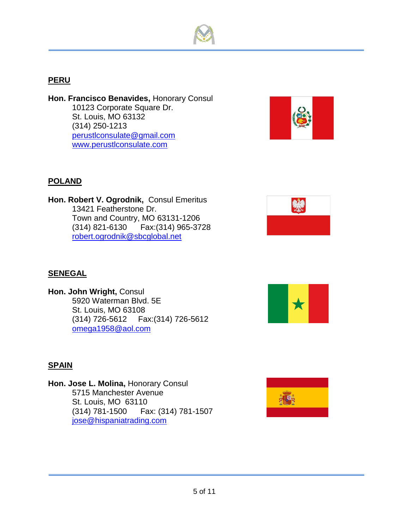

# **PERU**

**Hon. Francisco Benavides,** Honorary Consul 10123 Corporate Square Dr. St. Louis, MO 63132 (314) 250-1213 [perustlconsulate@gmail.com](mailto:perustlconsulate@gmail.com) [www.perustlconsulate.com](http://www.perustlconsulate.com/)



# **POLAND**

**Hon. Robert V. Ogrodnik,** Consul Emeritus 13421 Featherstone Dr. Town and Country, MO 63131-1206 (314) 821-6130 Fax:(314) 965-3728 [robert.ogrodnik@sbcglobal.net](mailto:robert.ogrodnik@sbcglobal.net)



# **SENEGAL**

**Hon. John Wright,** Consul 5920 Waterman Blvd. 5E St. Louis, MO 63108 (314) 726-5612 Fax:(314) 726-5612 [omega1958@aol.com](mailto:omega1958@aol.com)



### **SPAIN**

**Hon. Jose L. Molina,** Honorary Consul 5715 Manchester Avenue St. Louis, MO 63110 (314) 781-1500 Fax: (314) 781-1507 [jose@hispaniatrading.com](mailto:jose@hispaniatrading.com)

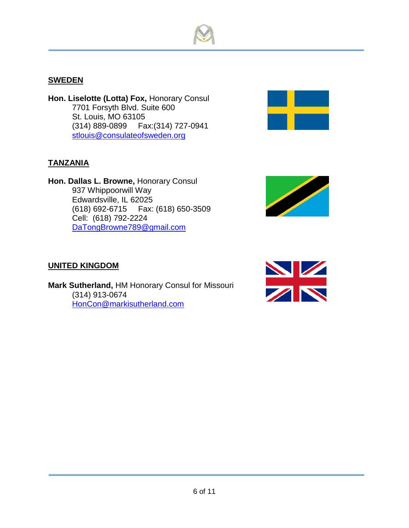

# **SWEDEN**

**Hon. Liselotte (Lotta) Fox,** Honorary Consul 7701 Forsyth Blvd. Suite 600 St. Louis, MO 63105 (314) 889-0899 Fax:(314) 727-0941 [stlouis@consulateofsweden.org](mailto:stlouis@consulateofsweden.org)



**Hon. Dallas L. Browne,** Honorary Consul 937 Whippoorwill Way Edwardsville, IL 62025 (618) 692-6715 Fax: (618) 650-3509 Cell: (618) 792-2224 [DaTongBrowne789@gmail.com](mailto:DaTongBrowne789@gmail.com)



**Mark Sutherland,** HM Honorary Consul for Missouri (314) 913-0674 [HonCon@markisutherland.com](mailto:HonCon@markisutherland.com)





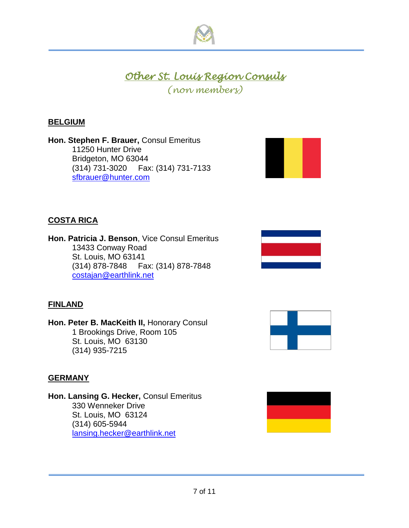

# *Other St. Louis Region Consuls*

*(non members)*

# **BELGIUM**

**Hon. Stephen F. Brauer,** Consul Emeritus 11250 Hunter Drive Bridgeton, MO 63044 (314) 731-3020 Fax: (314) 731-7133 [sfbrauer@hunter.com](mailto:sfbrauer@hunter.com)



# **COSTA RICA**

**Hon. Patricia J. Benson**, Vice Consul Emeritus 13433 Conway Road St. Louis, MO 63141 (314) 878-7848 Fax: (314) 878-7848 [costajan@earthlink.net](mailto:costajan@earthlink.net)



### **FINLAND**

**Hon. Peter B. MacKeith II,** Honorary Consul 1 Brookings Drive, Room 105 St. Louis, MO 63130 (314) 935-7215



#### **GERMANY**

**Hon. Lansing G. Hecker,** Consul Emeritus 330 Wenneker Drive St. Louis, MO 63124 (314) 605-5944 lansing.hecker@earthlink.net

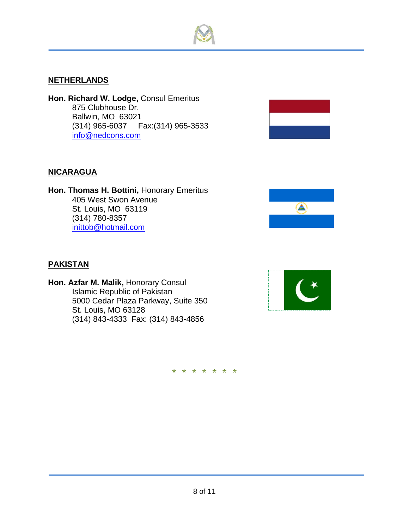#### **NETHERLANDS**

**Hon. Richard W. Lodge,** Consul Emeritus 875 Clubhouse Dr. Ballwin, MO 63021 (314) 965-6037 Fax:(314) 965-3533 [info@nedcons.com](mailto:info@nedcons.com)

#### **NICARAGUA**

**Hon. Thomas H. Bottini,** Honorary Emeritus 405 West Swon Avenue St. Louis, MO 63119 (314) 780-8357 [inittob@hotmail.com](mailto:inittob@hotmail.com)



#### **PAKISTAN**

**Hon. Azfar M. Malik,** Honorary Consul Islamic Republic of Pakistan 5000 Cedar Plaza Parkway, Suite 350 St. Louis, MO 63128 (314) 843-4333 Fax: (314) 843-4856



\* \* \* \* \* \* \*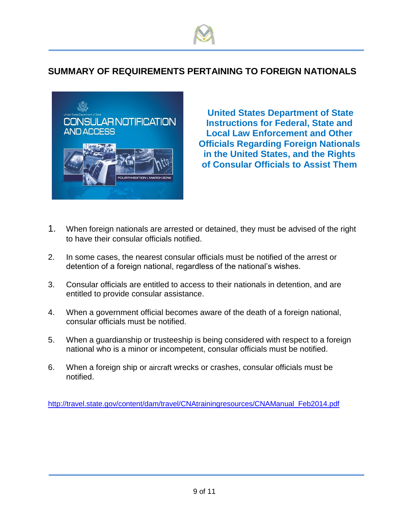



 **United States Department of State Instructions for Federal, State and Local Law Enforcement and Other Officials Regarding Foreign Nationals in the United States, and the Rights of Consular Officials to Assist Them**

- 1. When foreign nationals are arrested or detained, they must be advised of the right to have their consular officials notified.
- 2. In some cases, the nearest consular officials must be notified of the arrest or detention of a foreign national, regardless of the national's wishes.
- 3. Consular officials are entitled to access to their nationals in detention, and are entitled to provide consular assistance.
- 4. When a government official becomes aware of the death of a foreign national, consular officials must be notified.
- 5. When a guardianship or trusteeship is being considered with respect to a foreign national who is a minor or incompetent, consular officials must be notified.
- 6. When a foreign ship or aircraft wrecks or crashes, consular officials must be notified.

[http://travel.state.gov/content/dam/travel/CNAtrainingresources/CNAManual\\_Feb2014.pdf](http://travel.state.gov/content/dam/travel/CNAtrainingresources/CNAManual_Feb2014.pdf)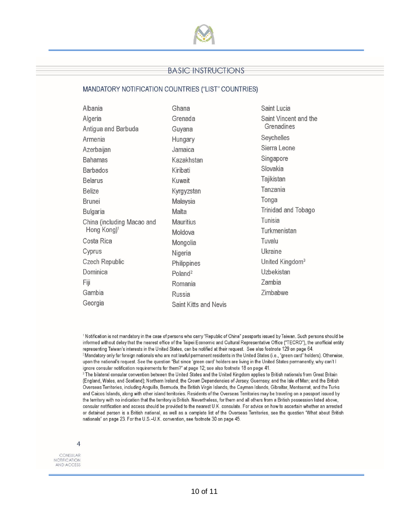

#### **BASIC INSTRUCTIONS**

#### MANDATORY NOTIFICATION COUNTRIES ("LIST" COUNTRIES)

| Albania                    | Ghana                 | Saint Lucia                         |
|----------------------------|-----------------------|-------------------------------------|
| Algeria                    | Grenada               | Saint Vincent and the<br>Grenadines |
| Antigua and Barbuda        | Guyana                |                                     |
| Armenia                    | Hungary               | Seychelles                          |
| Azerbaijan                 | Jamaica               | Sierra Leone                        |
| <b>Bahamas</b>             | Kazakhstan            | Singapore                           |
| <b>Barbados</b>            | Kiribati              | Slovakia                            |
| <b>Belarus</b>             | Kuwait                | Tajikistan                          |
| Belize                     | Kyrgyzstan            | Tanzania                            |
| <b>Brunei</b>              | Malaysia              | Tonga                               |
| Bulgaria                   | Malta                 | Trinidad and Tobago                 |
| China (including Macao and | <b>Mauritius</b>      | Tunisia                             |
| Hong Kong) <sup>1</sup>    | Moldova               | Turkmenistan                        |
| Costa Rica                 | Mongolia              | Tuvalu                              |
| Cyprus                     | Nigeria               | Ukraine                             |
| Czech Republic             | Philippines           | United Kingdom <sup>3</sup>         |
| Dominica                   | Poland <sup>2</sup>   | Uzbekistan                          |
| Fiji                       | Romania               | Zambia                              |
| Gambia                     | <b>Russia</b>         | Zimbabwe                            |
| Georgia                    | Saint Kitts and Nevis |                                     |

<sup>1</sup> Notification is not mandatory in the case of persons who carry "Republic of China" passports issued by Taiwan. Such persons should be informed without delay that the nearest office of the Taipei Economic and Cultural Representative Office ("TECRO"), the unofficial entity representing Taiwan's interests in the United States, can be notified at their request. See also footnote 129 on page 64. <sup>2</sup> Mandatory only for foreign nationals who are not lawful permanent residents in the United States (i.e., "green card" holders). Otherwise,

upon the national's request. See the question "But since 'green card' holders are living in the United States permanently, why can't I ignore consular notification requirements for them?" at page 12; see also footnote 18 on page 41.

<sup>3</sup> The bilateral consular convention between the United States and the United Kingdom applies to British nationals from Great Britain (England, Wales, and Scotland); Northern Ireland; the Crown Dependencies of Jersey, Guernsey, and the Isle of Man; and the British Overseas Territories, including Anguilla, Bermuda, the British Virgin Islands, the Cayman Islands, Gibraltar, Montserrat, and the Turks and Caicos Islands, along with other island territories. Residents of the Overseas Territories may be traveling on a passport issued by the territory with no indication that the territory is British. Nevertheless, for them and all others from a British possession listed above, consular notification and access should be provided to the nearest U.K. consulate. For advice on how to ascertain whether an arrested or detained person is a British national, as well as a complete list of the Overseas Territories, see the question "What about British nationals" on page 23. For the U.S.-U.K. convention, see footnote 30 on page 45.

CONSULAR<br>NOTIFICATION AND ACCESS